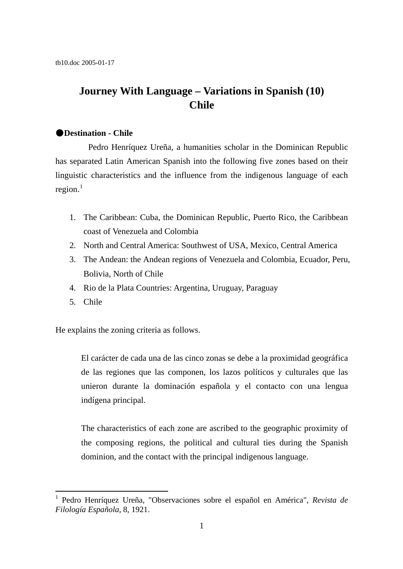# **Journey With Language – Variations in Spanish (10) Chile**

#### ●**Destination - Chile**

Pedro Henríquez Ureña, a humanities scholar in the Dominican Republic has separated Latin American Spanish into the following five zones based on their linguistic characteristics and the influence from the indigenous language of each region. $<sup>1</sup>$  $<sup>1</sup>$  $<sup>1</sup>$ </sup>

- 1. The Caribbean: Cuba, the Dominican Republic, Puerto Rico, the Caribbean coast of Venezuela and Colombia
- 2. North and Central America: Southwest of USA, Mexico, Central America
- 3. The Andean: the Andean regions of Venezuela and Colombia, Ecuador, Peru, Bolivia, North of Chile
- 4. Rio de la Plata Countries: Argentina, Uruguay, Paraguay
- 5. Chile

 $\overline{a}$ 

He explains the zoning criteria as follows.

El carácter de cada una de las cinco zonas se debe a la proximidad geográfica de las regiones que las componen, los lazos políticos y culturales que las unieron durante la dominación española y el contacto con una lengua indígena principal.

The characteristics of each zone are ascribed to the geographic proximity of the composing regions, the political and cultural ties during the Spanish dominion, and the contact with the principal indigenous language.

<span id="page-0-0"></span><sup>1</sup> Pedro Henríquez Ureña, "Observaciones sobre el español en América", *Revista de Filología Española,* 8, 1921.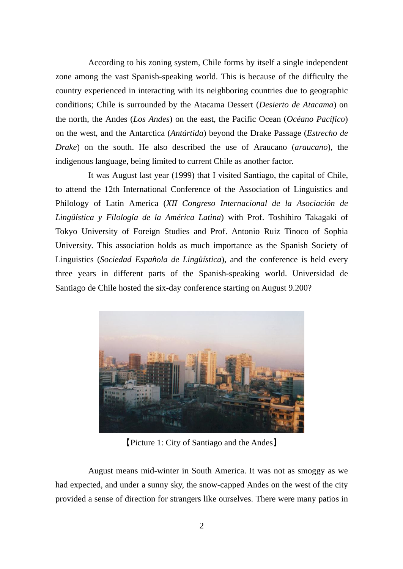According to his zoning system, Chile forms by itself a single independent zone among the vast Spanish-speaking world. This is because of the difficulty the country experienced in interacting with its neighboring countries due to geographic conditions; Chile is surrounded by the Atacama Dessert (*Desierto de Atacama*) on the north, the Andes (*Los Andes*) on the east, the Pacific Ocean (*Océano Pacífico*) on the west, and the Antarctica (*Antártida*) beyond the Drake Passage (*Estrecho de Drake*) on the south. He also described the use of Araucano (*araucano*), the indigenous language, being limited to current Chile as another factor.

It was August last year (1999) that I visited Santiago, the capital of Chile, to attend the 12th International Conference of the Association of Linguistics and Philology of Latin America (*XII Congreso Internacional de la Asociación de Lingüística y Filología de la América Latina*) with Prof. Toshihiro Takagaki of Tokyo University of Foreign Studies and Prof. Antonio Ruiz Tinoco of Sophia University. This association holds as much importance as the Spanish Society of Linguistics (*Sociedad Española de Lingüística*), and the conference is held every three years in different parts of the Spanish-speaking world. Universidad de Santiago de Chile hosted the six-day conference starting on August 9.200?



【Picture 1: City of Santiago and the Andes】

 August means mid-winter in South America. It was not as smoggy as we had expected, and under a sunny sky, the snow-capped Andes on the west of the city provided a sense of direction for strangers like ourselves. There were many patios in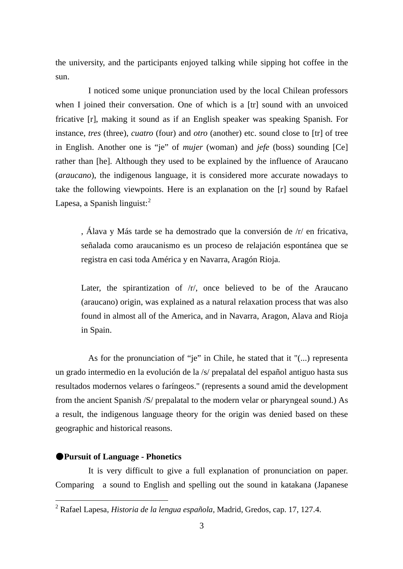the university, and the participants enjoyed talking while sipping hot coffee in the sun.

 I noticed some unique pronunciation used by the local Chilean professors when I joined their conversation. One of which is a [tr] sound with an unvoiced fricative [r], making it sound as if an English speaker was speaking Spanish. For instance, *tres* (three), *cuatro* (four) and *otro* (another) etc. sound close to [tr] of tree in English. Another one is "je" of *mujer* (woman) and *jefe* (boss) sounding [Ce] rather than [he]. Although they used to be explained by the influence of Araucano (*araucano*), the indigenous language, it is considered more accurate nowadays to take the following viewpoints. Here is an explanation on the [r] sound by Rafael Lapesa, a Spanish linguist: $2<sup>2</sup>$  $2<sup>2</sup>$ 

, Álava y Más tarde se ha demostrado que la conversión de /r/ en fricativa, señalada como araucanismo es un proceso de relajación espontánea que se registra en casi toda América y en Navarra, Aragón Rioja.

Later, the spirantization of  $/r/$ , once believed to be of the Araucano (araucano) origin, was explained as a natural relaxation process that was also found in almost all of the America, and in Navarra, Aragon, Alava and Rioja in Spain.

As for the pronunciation of "je" in Chile, he stated that it "(...) representa un grado intermedio en la evolución de la /s/ prepalatal del español antiguo hasta sus resultados modernos velares o faríngeos." (represents a sound amid the development from the ancient Spanish /S/ prepalatal to the modern velar or pharyngeal sound.) As a result, the indigenous language theory for the origin was denied based on these geographic and historical reasons.

#### ●**Pursuit of Language - Phonetics**

l

It is very difficult to give a full explanation of pronunciation on paper. Comparing a sound to English and spelling out the sound in katakana (Japanese

<span id="page-2-0"></span><sup>2</sup> Rafael Lapesa, *Historia de la lengua española,* Madrid, Gredos, cap. 17, 127.4.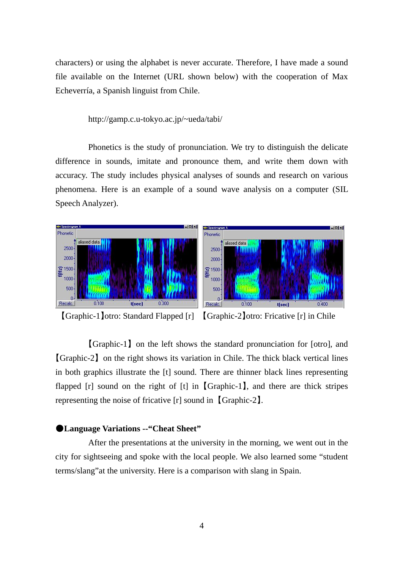characters) or using the alphabet is never accurate. Therefore, I have made a sound file available on the Internet (URL shown below) with the cooperation of Max Echeverría, a Spanish linguist from Chile.

http://gamp.c.u-tokyo.ac.jp/~ueda/tabi/

Phonetics is the study of pronunciation. We try to distinguish the delicate difference in sounds, imitate and pronounce them, and write them down with accuracy. The study includes physical analyses of sounds and research on various phenomena. Here is an example of a sound wave analysis on a computer (SIL Speech Analyzer).



【Graphic-1】otro: Standard Flapped [r] 【Graphic-2】otro: Fricative [r] in Chile

【Graphic-1】 on the left shows the standard pronunciation for [otro], and 【Graphic-2】 on the right shows its variation in Chile. The thick black vertical lines in both graphics illustrate the [t] sound. There are thinner black lines representing flapped  $[r]$  sound on the right of  $[t]$  in  $[Graphic-1]$ , and there are thick stripes representing the noise of fricative [r] sound in 【Graphic-2】.

#### ●**Language Variations --"Cheat Sheet"**

After the presentations at the university in the morning, we went out in the city for sightseeing and spoke with the local people. We also learned some "student terms/slang"at the university. Here is a comparison with slang in Spain.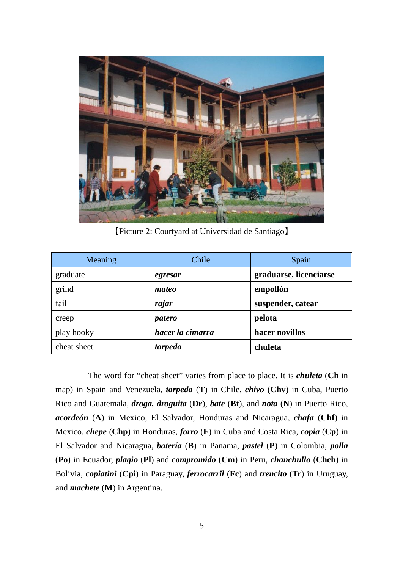

【Picture 2: Courtyard at Universidad de Santiago】

| Meaning     | Chile            | Spain                  |
|-------------|------------------|------------------------|
| graduate    | egresar          | graduarse, licenciarse |
| grind       | mateo            | empollón               |
| fail        | rajar            | suspender, catear      |
| creep       | patero           | pelota                 |
| play hooky  | hacer la cimarra | hacer novillos         |
| cheat sheet | torpedo          | chuleta                |

The word for "cheat sheet" varies from place to place. It is *chuleta* (**Ch** in map) in Spain and Venezuela, *torpedo* (**T**) in Chile, *chivo* (**Chv**) in Cuba, Puerto Rico and Guatemala, *droga, droguita* (**Dr**), *bate* (**Bt**), and *nota* (**N**) in Puerto Rico, *acordeón* (**A**) in Mexico, El Salvador, Honduras and Nicaragua, *chafa* (**Chf**) in Mexico, *chepe* (**Chp**) in Honduras, *forro* (**F**) in Cuba and Costa Rica, *copia* (**Cp**) in El Salvador and Nicaragua, *batería* (**B**) in Panama, *pastel* (**P**) in Colombia, *polla* (**Po**) in Ecuador, *plagio* (**Pl**) and *compromido* (**Cm**) in Peru, *chanchullo* (**Chch**) in Bolivia, *copiatini* (**Cpi**) in Paraguay, *ferrocarril* (**Fc**) and *trencito* (**Tr**) in Uruguay, and *machete* (**M**) in Argentina.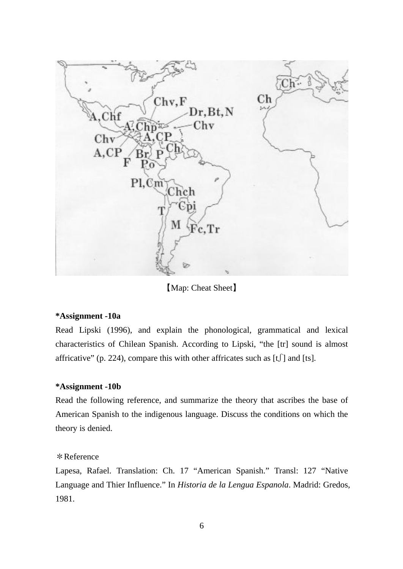

【Map: Cheat Sheet】

## **\*Assignment -10a**

Read Lipski (1996), and explain the phonological, grammatical and lexical characteristics of Chilean Spanish. According to Lipski, "the [tr] sound is almost affricative" (p. 224), compare this with other affricates such as  $[t]$  and [ts].

### **\*Assignment -10b**

Read the following reference, and summarize the theory that ascribes the base of American Spanish to the indigenous language. Discuss the conditions on which the theory is denied.

### \*Reference

Lapesa, Rafael. Translation: Ch. 17 "American Spanish." Transl: 127 "Native Language and Thier Influence." In *Historia de la Lengua Espanola*. Madrid: Gredos, 1981.